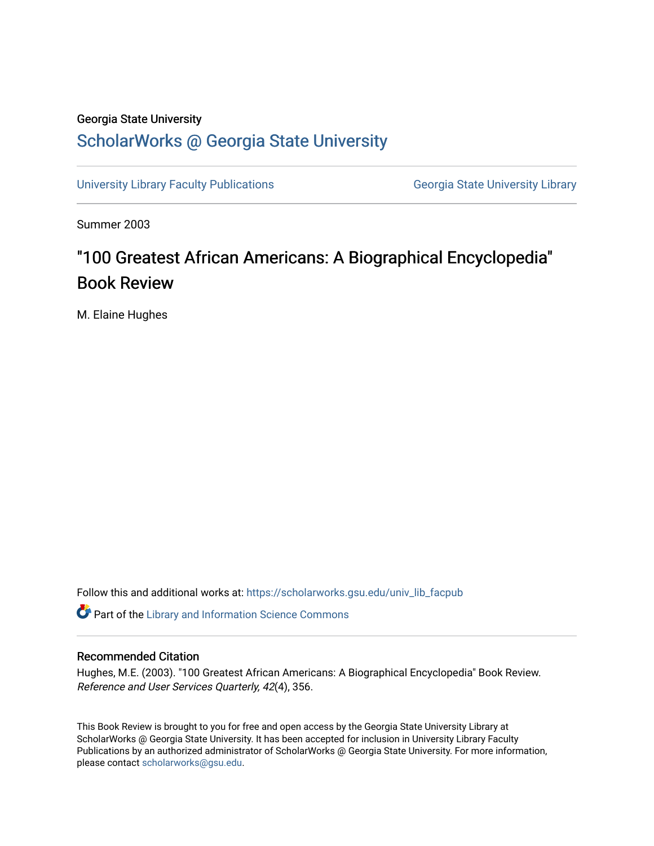## Georgia State University

## [ScholarWorks @ Georgia State University](https://scholarworks.gsu.edu/)

[University Library Faculty Publications](https://scholarworks.gsu.edu/univ_lib_facpub) **Georgia State University Library** Georgia State University Library

Summer 2003

## "100 Greatest African Americans: A Biographical Encyclopedia" Book Review

M. Elaine Hughes

Follow this and additional works at: [https://scholarworks.gsu.edu/univ\\_lib\\_facpub](https://scholarworks.gsu.edu/univ_lib_facpub?utm_source=scholarworks.gsu.edu%2Funiv_lib_facpub%2F19&utm_medium=PDF&utm_campaign=PDFCoverPages) 

**Part of the Library and Information Science Commons** 

## Recommended Citation

Hughes, M.E. (2003). "100 Greatest African Americans: A Biographical Encyclopedia" Book Review. Reference and User Services Quarterly, 42(4), 356.

This Book Review is brought to you for free and open access by the Georgia State University Library at ScholarWorks @ Georgia State University. It has been accepted for inclusion in University Library Faculty Publications by an authorized administrator of ScholarWorks @ Georgia State University. For more information, please contact [scholarworks@gsu.edu.](mailto:scholarworks@gsu.edu)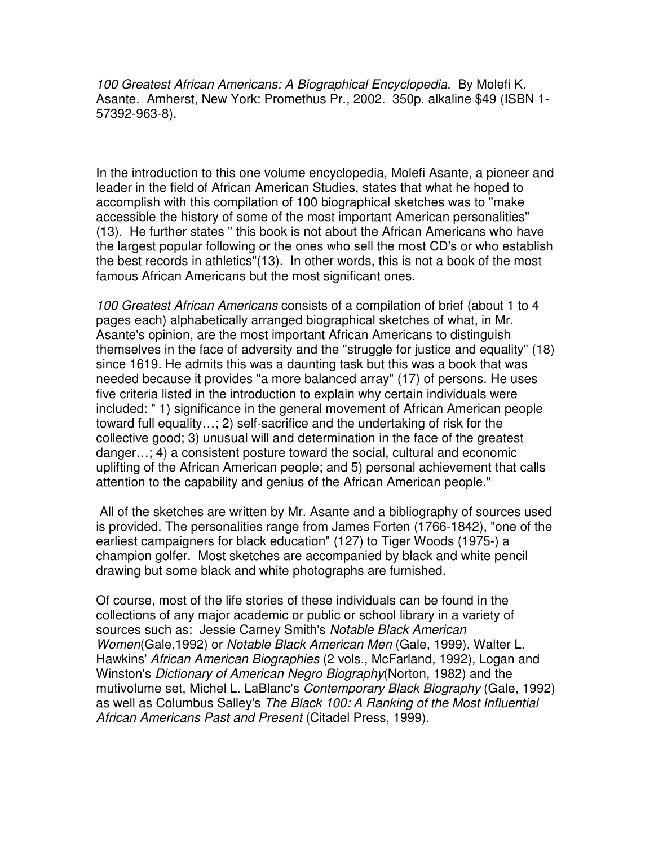100 Greatest African Americans: A Biographical Encyclopedia. By Molefi K. Asante. Amherst, New York: Promethus Pr., 2002. 350p. alkaline \$49 (ISBN 1- 57392-963-8).

In the introduction to this one volume encyclopedia, Molefi Asante, a pioneer and leader in the field of African American Studies, states that what he hoped to accomplish with this compilation of 100 biographical sketches was to "make accessible the history of some of the most important American personalities" (13). He further states " this book is not about the African Americans who have the largest popular following or the ones who sell the most CD's or who establish the best records in athletics"(13). In other words, this is not a book of the most famous African Americans but the most significant ones.

100 Greatest African Americans consists of a compilation of brief (about 1 to 4 pages each) alphabetically arranged biographical sketches of what, in Mr. Asante's opinion, are the most important African Americans to distinguish themselves in the face of adversity and the "struggle for justice and equality" (18) since 1619. He admits this was a daunting task but this was a book that was needed because it provides "a more balanced array" (17) of persons. He uses five criteria listed in the introduction to explain why certain individuals were included: " 1) significance in the general movement of African American people toward full equality…; 2) self-sacrifice and the undertaking of risk for the collective good; 3) unusual will and determination in the face of the greatest danger…; 4) a consistent posture toward the social, cultural and economic uplifting of the African American people; and 5) personal achievement that calls attention to the capability and genius of the African American people."

 All of the sketches are written by Mr. Asante and a bibliography of sources used is provided. The personalities range from James Forten (1766-1842), "one of the earliest campaigners for black education" (127) to Tiger Woods (1975-) a champion golfer. Most sketches are accompanied by black and white pencil drawing but some black and white photographs are furnished.

Of course, most of the life stories of these individuals can be found in the collections of any major academic or public or school library in a variety of sources such as: Jessie Carney Smith's Notable Black American Women(Gale,1992) or Notable Black American Men (Gale, 1999), Walter L. Hawkins' African American Biographies (2 vols., McFarland, 1992), Logan and Winston's Dictionary of American Negro Biography(Norton, 1982) and the mutivolume set, Michel L. LaBlanc's Contemporary Black Biography (Gale, 1992) as well as Columbus Salley's The Black 100: A Ranking of the Most Influential African Americans Past and Present (Citadel Press, 1999).